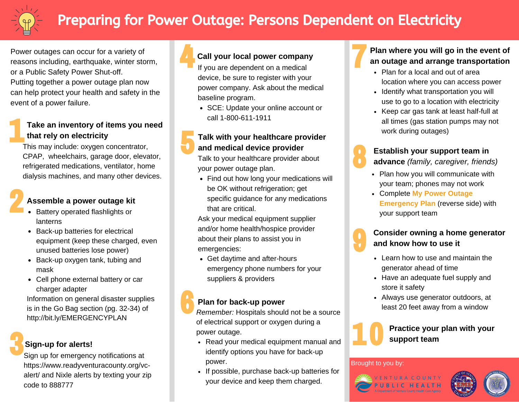

# Preparing for Power Outage: Persons Dependent on Electricity

Power outages can occur for a variety of reasons including, earthquake, winter storm, or a Public Safety Power Shut-off. Putting together a power outage plan now can help protect your health and safety in the event of a power failure.

#### **Take an inventory of items you need that rely on electricity**

This may include: oxygen concentrator, CPAP, wheelchairs, garage door, elevator, refrigerated medications, ventilator, home dialysis machines, and many other devices.

### **Assemble a power outage kit**

- Battery operated flashlights or lanterns
- Back-up batteries for electrical equipment (keep these charged, even unused batteries lose power)
- Back-up oxygen tank, tubing and mask
- Cell phone external battery or car charger adapter

Information on general disaster supplies is in the Go Bag section (pg. 32-34) of <http://bit.ly/EMERGENCYPLAN>

### **Sign-up for alerts!**

Sign up for emergency notifications at [https://www.readyventuracounty.org/vc](https://www.readyventuracounty.org/vc-alert/)alert/ and Nixle alerts by texting your zip code to 888777



#### **Call your local power company**

If you are dependent on a medical device, be sure to register with your power company. Ask about the medical baseline program.

• SCE: Update your online account or call 1-800-611-1911

#### **Talk with your healthcare provider and medical device provider**

Talk to your healthcare provider about your power outage plan.

• Find out how long your medications will be OK without refrigeration; get specific guidance for any medications that are critical.

Ask your medical equipment supplier and/or home health/hospice provider about their plans to assist you in emergencies:

Get daytime and after-hours emergency phone numbers for your suppliers & providers

#### **Plan for back-up power**

*Remember:* Hospitals should not be a source of electrical support or oxygen during a power outage.

- Read your medical equipment manual and identify options you have for back-up power.
- If possible, purchase back-up batteries for your device and keep them charged.

**Plan where you will go in the event of an outage and arrange transportation**

- Plan for a local and out of area location where you can access power
- Identify what transportation you will use to go to a location with electricity
- Keep car gas tank at least half-full at all times (gas station pumps may not work during outages)



**Establish your support team in advance** *(family, caregiver, friends)*

- Plan how you will communicate with your team; phones may not work
- Complete **My Power Outage Emergency Plan** (reverse side) with your support team



#### **Consider owning a home generator and know how to use it**

- Learn how to use and maintain the generator ahead of time
- Have an adequate fuel supply and store it safety
- Always use generator outdoors, at least 20 feet away from a window



**Practice your plan with your support team**

#### Brought to you by: